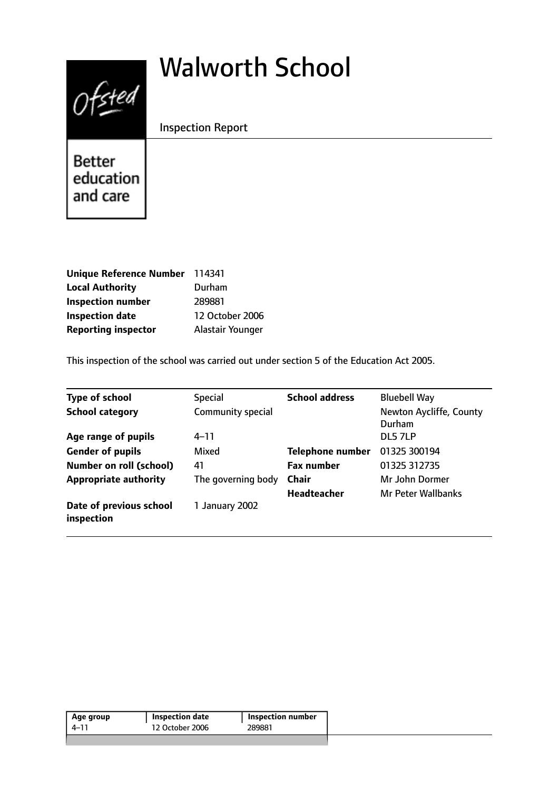# Walworth School



Inspection Report

Better education and care

| Unique Reference Number 114341 |                  |
|--------------------------------|------------------|
| <b>Local Authority</b>         | Durham           |
| <b>Inspection number</b>       | 289881           |
| <b>Inspection date</b>         | 12 October 2006  |
| <b>Reporting inspector</b>     | Alastair Younger |

This inspection of the school was carried out under section 5 of the Education Act 2005.

| <b>Type of school</b>                 | <b>Special</b>     | <b>School address</b>   | <b>Bluebell Way</b>               |
|---------------------------------------|--------------------|-------------------------|-----------------------------------|
| <b>School category</b>                | Community special  |                         | Newton Aycliffe, County<br>Durham |
| Age range of pupils                   | 4–11               |                         | DL5 7LP                           |
| <b>Gender of pupils</b>               | Mixed              | <b>Telephone number</b> | 01325 300194                      |
| <b>Number on roll (school)</b>        | 41                 | <b>Fax number</b>       | 01325 312735                      |
| <b>Appropriate authority</b>          | The governing body | <b>Chair</b>            | Mr John Dormer                    |
|                                       |                    | <b>Headteacher</b>      | <b>Mr Peter Wallbanks</b>         |
| Date of previous school<br>inspection | 1 January 2002     |                         |                                   |

| Age group | Inspection date | Inspection number |
|-----------|-----------------|-------------------|
| 4–11      | 12 October 2006 | 289881            |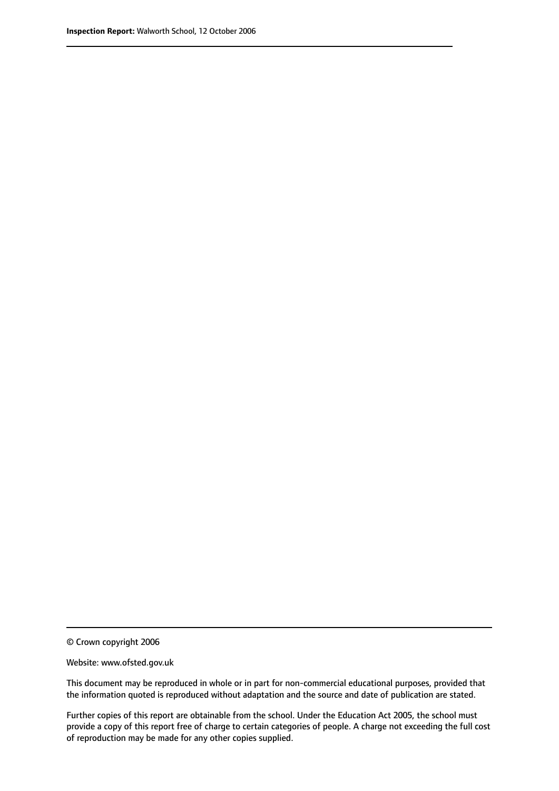© Crown copyright 2006

Website: www.ofsted.gov.uk

This document may be reproduced in whole or in part for non-commercial educational purposes, provided that the information quoted is reproduced without adaptation and the source and date of publication are stated.

Further copies of this report are obtainable from the school. Under the Education Act 2005, the school must provide a copy of this report free of charge to certain categories of people. A charge not exceeding the full cost of reproduction may be made for any other copies supplied.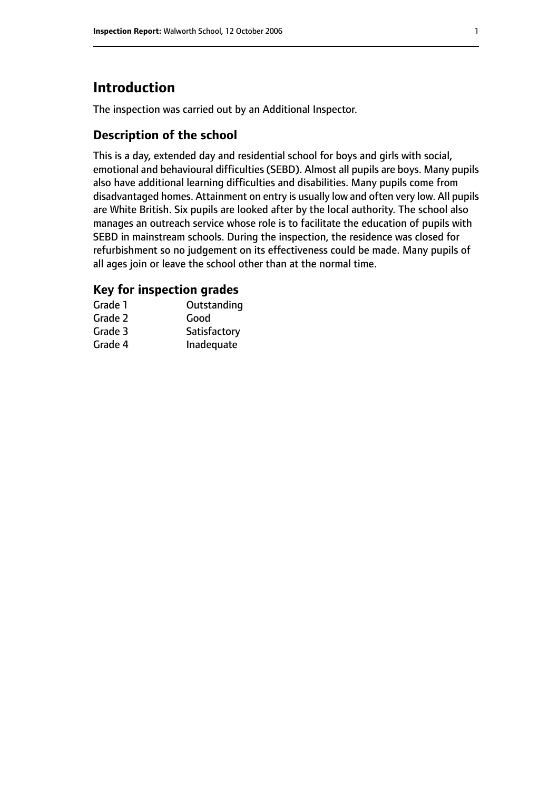# **Introduction**

The inspection was carried out by an Additional Inspector.

## **Description of the school**

This is a day, extended day and residential school for boys and girls with social, emotional and behavioural difficulties (SEBD). Almost all pupils are boys. Many pupils also have additional learning difficulties and disabilities. Many pupils come from disadvantaged homes. Attainment on entry is usually low and often very low. All pupils are White British. Six pupils are looked after by the local authority. The school also manages an outreach service whose role is to facilitate the education of pupils with SEBD in mainstream schools. During the inspection, the residence was closed for refurbishment so no judgement on its effectiveness could be made. Many pupils of all ages join or leave the school other than at the normal time.

## **Key for inspection grades**

| Grade 1 | Outstanding  |
|---------|--------------|
| Grade 2 | Good         |
| Grade 3 | Satisfactory |
| Grade 4 | Inadequate   |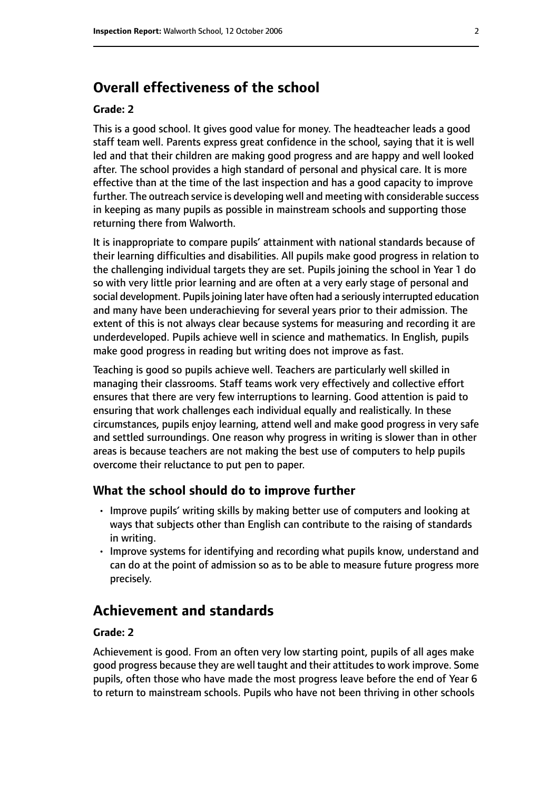# **Overall effectiveness of the school**

#### **Grade: 2**

This is a good school. It gives good value for money. The headteacher leads a good staff team well. Parents express great confidence in the school, saying that it is well led and that their children are making good progress and are happy and well looked after. The school provides a high standard of personal and physical care. It is more effective than at the time of the last inspection and has a good capacity to improve further. The outreach service is developing well and meeting with considerable success in keeping as many pupils as possible in mainstream schools and supporting those returning there from Walworth.

It is inappropriate to compare pupils' attainment with national standards because of their learning difficulties and disabilities. All pupils make good progress in relation to the challenging individual targets they are set. Pupils joining the school in Year 1 do so with very little prior learning and are often at a very early stage of personal and social development. Pupils joining later have often had a seriously interrupted education and many have been underachieving for several years prior to their admission. The extent of this is not always clear because systems for measuring and recording it are underdeveloped. Pupils achieve well in science and mathematics. In English, pupils make good progress in reading but writing does not improve as fast.

Teaching is good so pupils achieve well. Teachers are particularly well skilled in managing their classrooms. Staff teams work very effectively and collective effort ensures that there are very few interruptions to learning. Good attention is paid to ensuring that work challenges each individual equally and realistically. In these circumstances, pupils enjoy learning, attend well and make good progress in very safe and settled surroundings. One reason why progress in writing is slower than in other areas is because teachers are not making the best use of computers to help pupils overcome their reluctance to put pen to paper.

#### **What the school should do to improve further**

- Improve pupils' writing skills by making better use of computers and looking at ways that subjects other than English can contribute to the raising of standards in writing.
- Improve systems for identifying and recording what pupils know, understand and can do at the point of admission so as to be able to measure future progress more precisely.

## **Achievement and standards**

#### **Grade: 2**

Achievement is good. From an often very low starting point, pupils of all ages make good progress because they are well taught and their attitudes to work improve. Some pupils, often those who have made the most progress leave before the end of Year 6 to return to mainstream schools. Pupils who have not been thriving in other schools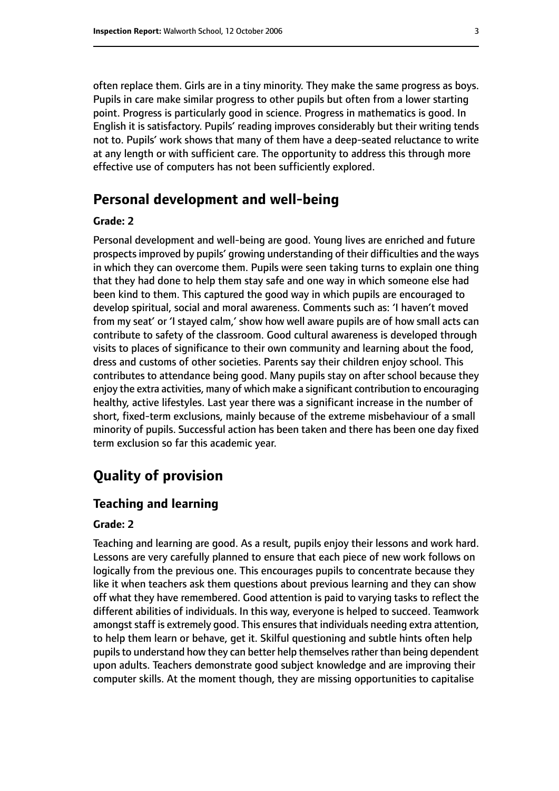often replace them. Girls are in a tiny minority. They make the same progress as boys. Pupils in care make similar progress to other pupils but often from a lower starting point. Progress is particularly good in science. Progress in mathematics is good. In English it is satisfactory. Pupils' reading improves considerably but their writing tends not to. Pupils' work shows that many of them have a deep-seated reluctance to write at any length or with sufficient care. The opportunity to address this through more effective use of computers has not been sufficiently explored.

## **Personal development and well-being**

#### **Grade: 2**

Personal development and well-being are good. Young lives are enriched and future prospects improved by pupils' growing understanding of their difficulties and the ways in which they can overcome them. Pupils were seen taking turns to explain one thing that they had done to help them stay safe and one way in which someone else had been kind to them. This captured the good way in which pupils are encouraged to develop spiritual, social and moral awareness. Comments such as: 'I haven't moved from my seat' or 'I stayed calm,' show how well aware pupils are of how small acts can contribute to safety of the classroom. Good cultural awareness is developed through visits to places of significance to their own community and learning about the food, dress and customs of other societies. Parents say their children enjoy school. This contributes to attendance being good. Many pupils stay on after school because they enjoy the extra activities, many of which make a significant contribution to encouraging healthy, active lifestyles. Last year there was a significant increase in the number of short, fixed-term exclusions, mainly because of the extreme misbehaviour of a small minority of pupils. Successful action has been taken and there has been one day fixed term exclusion so far this academic year.

# **Quality of provision**

#### **Teaching and learning**

#### **Grade: 2**

Teaching and learning are good. As a result, pupils enjoy their lessons and work hard. Lessons are very carefully planned to ensure that each piece of new work follows on logically from the previous one. This encourages pupils to concentrate because they like it when teachers ask them questions about previous learning and they can show off what they have remembered. Good attention is paid to varying tasks to reflect the different abilities of individuals. In this way, everyone is helped to succeed. Teamwork amongst staff is extremely good. This ensures that individuals needing extra attention, to help them learn or behave, get it. Skilful questioning and subtle hints often help pupils to understand how they can better help themselves rather than being dependent upon adults. Teachers demonstrate good subject knowledge and are improving their computer skills. At the moment though, they are missing opportunities to capitalise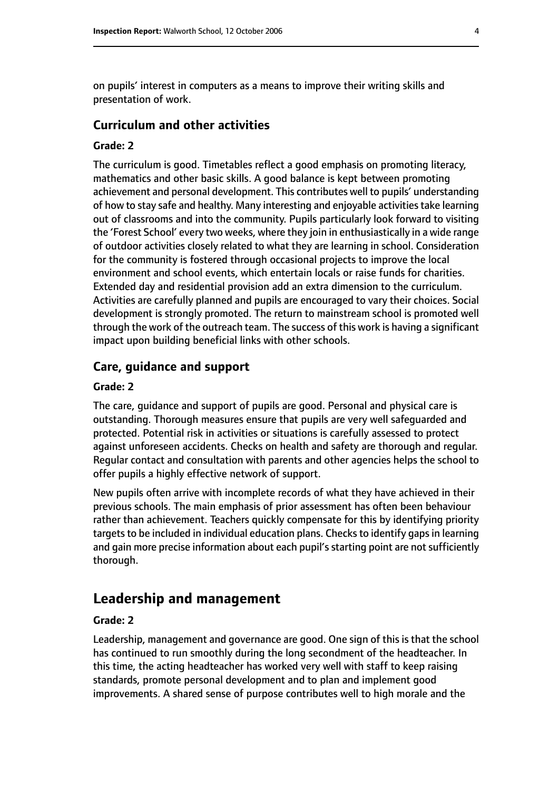on pupils' interest in computers as a means to improve their writing skills and presentation of work.

#### **Curriculum and other activities**

#### **Grade: 2**

The curriculum is good. Timetables reflect a good emphasis on promoting literacy, mathematics and other basic skills. A good balance is kept between promoting achievement and personal development. This contributes well to pupils' understanding of how to stay safe and healthy. Many interesting and enjoyable activities take learning out of classrooms and into the community. Pupils particularly look forward to visiting the 'Forest School' every two weeks, where they join in enthusiastically in a wide range of outdoor activities closely related to what they are learning in school. Consideration for the community is fostered through occasional projects to improve the local environment and school events, which entertain locals or raise funds for charities. Extended day and residential provision add an extra dimension to the curriculum. Activities are carefully planned and pupils are encouraged to vary their choices. Social development is strongly promoted. The return to mainstream school is promoted well through the work of the outreach team. The success of this work is having a significant impact upon building beneficial links with other schools.

#### **Care, guidance and support**

#### **Grade: 2**

The care, guidance and support of pupils are good. Personal and physical care is outstanding. Thorough measures ensure that pupils are very well safeguarded and protected. Potential risk in activities or situations is carefully assessed to protect against unforeseen accidents. Checks on health and safety are thorough and regular. Regular contact and consultation with parents and other agencies helps the school to offer pupils a highly effective network of support.

New pupils often arrive with incomplete records of what they have achieved in their previous schools. The main emphasis of prior assessment has often been behaviour rather than achievement. Teachers quickly compensate for this by identifying priority targets to be included in individual education plans. Checks to identify gaps in learning and gain more precise information about each pupil's starting point are not sufficiently thorough.

## **Leadership and management**

#### **Grade: 2**

Leadership, management and governance are good. One sign of this is that the school has continued to run smoothly during the long secondment of the headteacher. In this time, the acting headteacher has worked very well with staff to keep raising standards, promote personal development and to plan and implement good improvements. A shared sense of purpose contributes well to high morale and the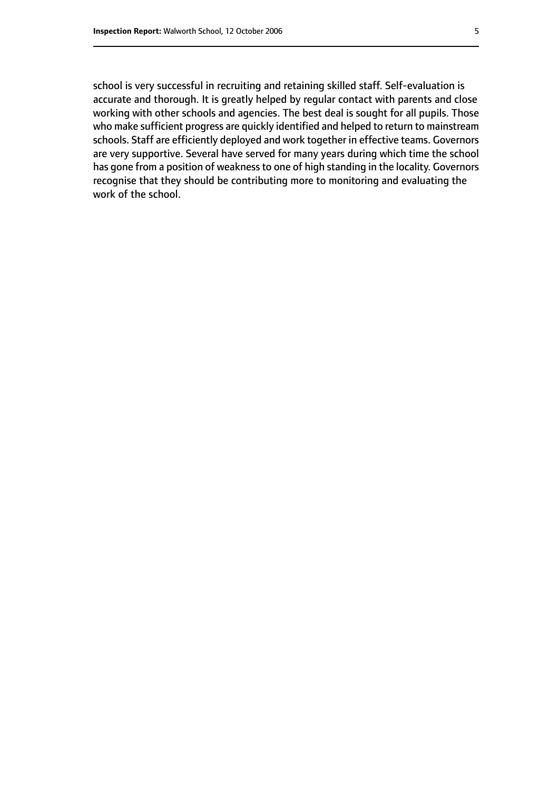school is very successful in recruiting and retaining skilled staff. Self-evaluation is accurate and thorough. It is greatly helped by regular contact with parents and close working with other schools and agencies. The best deal is sought for all pupils. Those who make sufficient progress are quickly identified and helped to return to mainstream schools. Staff are efficiently deployed and work together in effective teams. Governors are very supportive. Several have served for many years during which time the school has gone from a position of weakness to one of high standing in the locality. Governors recognise that they should be contributing more to monitoring and evaluating the work of the school.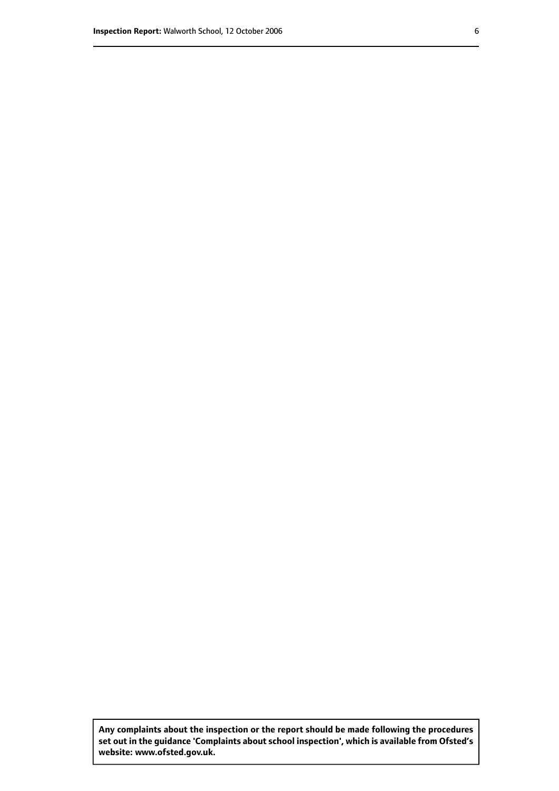**Any complaints about the inspection or the report should be made following the procedures set out inthe guidance 'Complaints about school inspection', whichis available from Ofsted's website: www.ofsted.gov.uk.**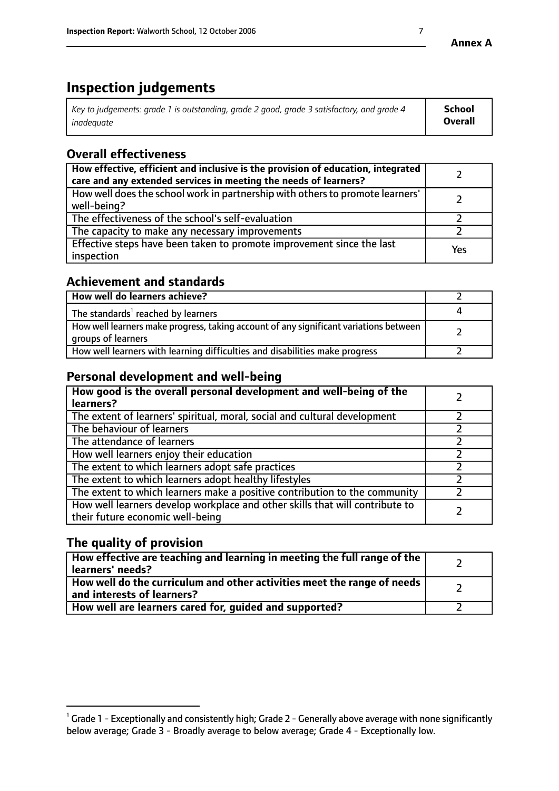# **Inspection judgements**

| $^{\circ}$ Key to judgements: grade 1 is outstanding, grade 2 good, grade 3 satisfactory, and grade 4 $^{\circ}$ | School         |
|------------------------------------------------------------------------------------------------------------------|----------------|
| inadequate                                                                                                       | <b>Overall</b> |

# **Overall effectiveness**

| How effective, efficient and inclusive is the provision of education, integrated<br>care and any extended services in meeting the needs of learners? |     |
|------------------------------------------------------------------------------------------------------------------------------------------------------|-----|
| How well does the school work in partnership with others to promote learners'<br>well-being?                                                         |     |
| The effectiveness of the school's self-evaluation                                                                                                    |     |
| The capacity to make any necessary improvements                                                                                                      |     |
| Effective steps have been taken to promote improvement since the last<br>inspection                                                                  | Yes |

## **Achievement and standards**

| How well do learners achieve?                                                                               |  |
|-------------------------------------------------------------------------------------------------------------|--|
| The standards <sup>1</sup> reached by learners                                                              |  |
| How well learners make progress, taking account of any significant variations between<br>groups of learners |  |
| How well learners with learning difficulties and disabilities make progress                                 |  |

## **Personal development and well-being**

| How good is the overall personal development and well-being of the<br>learners?                                  |  |
|------------------------------------------------------------------------------------------------------------------|--|
| The extent of learners' spiritual, moral, social and cultural development                                        |  |
| The behaviour of learners                                                                                        |  |
| The attendance of learners                                                                                       |  |
| How well learners enjoy their education                                                                          |  |
| The extent to which learners adopt safe practices                                                                |  |
| The extent to which learners adopt healthy lifestyles                                                            |  |
| The extent to which learners make a positive contribution to the community                                       |  |
| How well learners develop workplace and other skills that will contribute to<br>their future economic well-being |  |

# **The quality of provision**

| How effective are teaching and learning in meeting the full range of the<br>learners' needs?          |  |
|-------------------------------------------------------------------------------------------------------|--|
| How well do the curriculum and other activities meet the range of needs<br>and interests of learners? |  |
| How well are learners cared for, guided and supported?                                                |  |

 $^1$  Grade 1 - Exceptionally and consistently high; Grade 2 - Generally above average with none significantly below average; Grade 3 - Broadly average to below average; Grade 4 - Exceptionally low.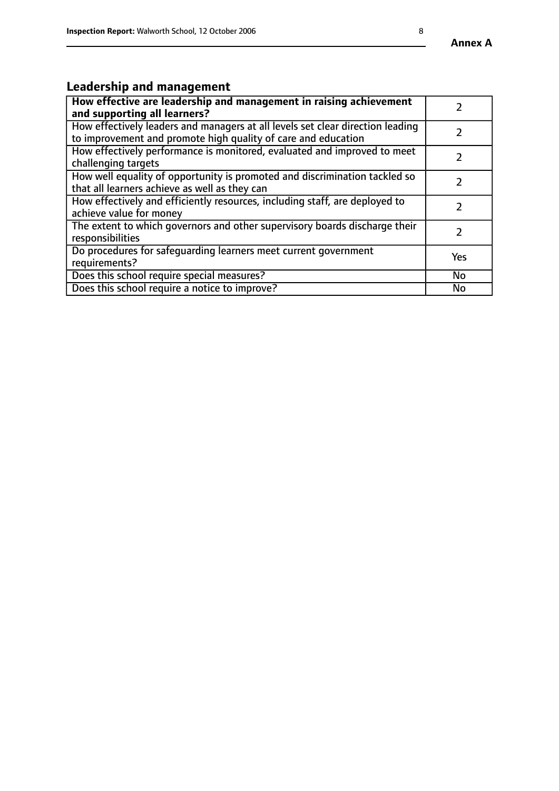# **Leadership and management**

| How effective are leadership and management in raising achievement<br>and supporting all learners?                                              |               |
|-------------------------------------------------------------------------------------------------------------------------------------------------|---------------|
| How effectively leaders and managers at all levels set clear direction leading<br>to improvement and promote high quality of care and education |               |
| How effectively performance is monitored, evaluated and improved to meet<br>challenging targets                                                 | $\mathcal{L}$ |
| How well equality of opportunity is promoted and discrimination tackled so<br>that all learners achieve as well as they can                     |               |
| How effectively and efficiently resources, including staff, are deployed to<br>achieve value for money                                          | $\mathcal{P}$ |
| The extent to which governors and other supervisory boards discharge their<br>responsibilities                                                  |               |
| Do procedures for safequarding learners meet current government<br>requirements?                                                                | Yes           |
| Does this school require special measures?                                                                                                      | No            |
| Does this school require a notice to improve?                                                                                                   | <b>No</b>     |